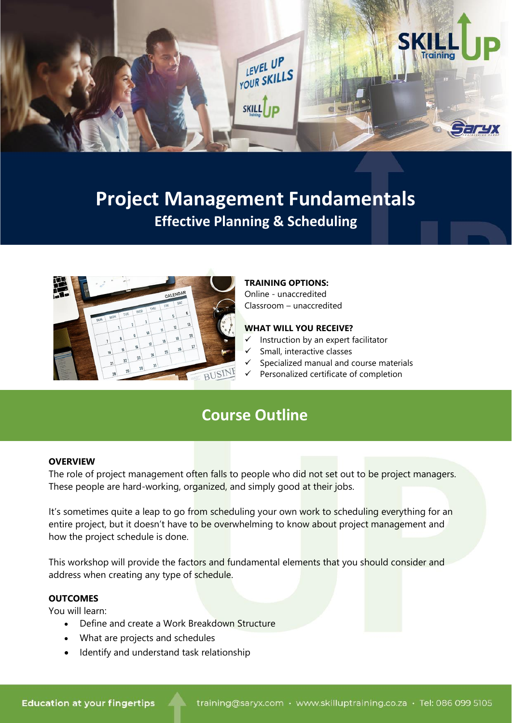

# **Project Management Fundamentals Effective Planning & Scheduling**



### **TRAINING OPTIONS:**

Online - unaccredited Classroom – unaccredited

### **WHAT WILL YOU RECEIVE?**

- $\checkmark$  Instruction by an expert facilitator
- ✓ Small, interactive classes
- ✓ Specialized manual and course materials
- ✓ Personalized certificate of completion

# **Course Outline**

#### **OVERVIEW**

The role of project management often falls to people who did not set out to be project managers. These people are hard-working, organized, and simply good at their jobs.

It's sometimes quite a leap to go from scheduling your own work to scheduling everything for an entire project, but it doesn't have to be overwhelming to know about project management and how the project schedule is done.

This workshop will provide the factors and fundamental elements that you should consider and address when creating any type of schedule.

## **OUTCOMES**

You will learn:

- Define and create a Work Breakdown Structure
- What are projects and schedules
- Identify and understand task relationship